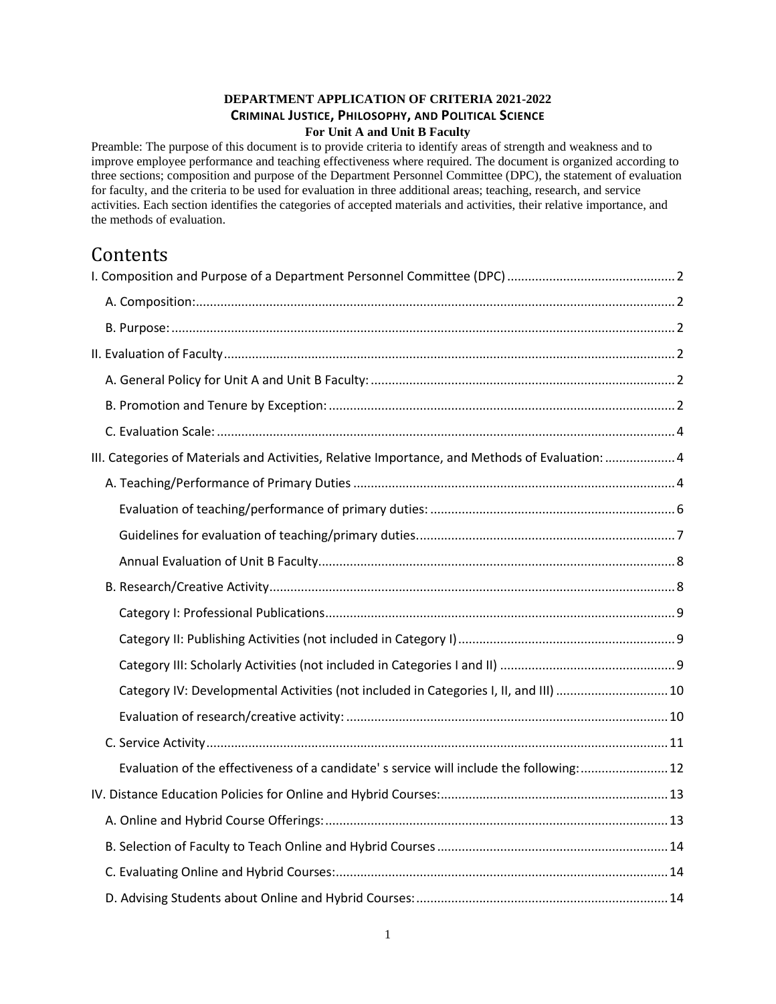## **DEPARTMENT APPLICATION OF CRITERIA 2021-2022 CRIMINAL JUSTICE, PHILOSOPHY, AND POLITICAL SCIENCE For Unit A and Unit B Faculty**

Preamble: The purpose of this document is to provide criteria to identify areas of strength and weakness and to improve employee performance and teaching effectiveness where required. The document is organized according to three sections; composition and purpose of the Department Personnel Committee (DPC), the statement of evaluation for faculty, and the criteria to be used for evaluation in three additional areas; teaching, research, and service activities. Each section identifies the categories of accepted materials and activities, their relative importance, and the methods of evaluation.

# Contents

| III. Categories of Materials and Activities, Relative Importance, and Methods of Evaluation:  4 |  |
|-------------------------------------------------------------------------------------------------|--|
|                                                                                                 |  |
|                                                                                                 |  |
|                                                                                                 |  |
|                                                                                                 |  |
|                                                                                                 |  |
|                                                                                                 |  |
|                                                                                                 |  |
|                                                                                                 |  |
| Category IV: Developmental Activities (not included in Categories I, II, and III) 10            |  |
|                                                                                                 |  |
|                                                                                                 |  |
| Evaluation of the effectiveness of a candidate's service will include the following: 12         |  |
|                                                                                                 |  |
|                                                                                                 |  |
|                                                                                                 |  |
|                                                                                                 |  |
|                                                                                                 |  |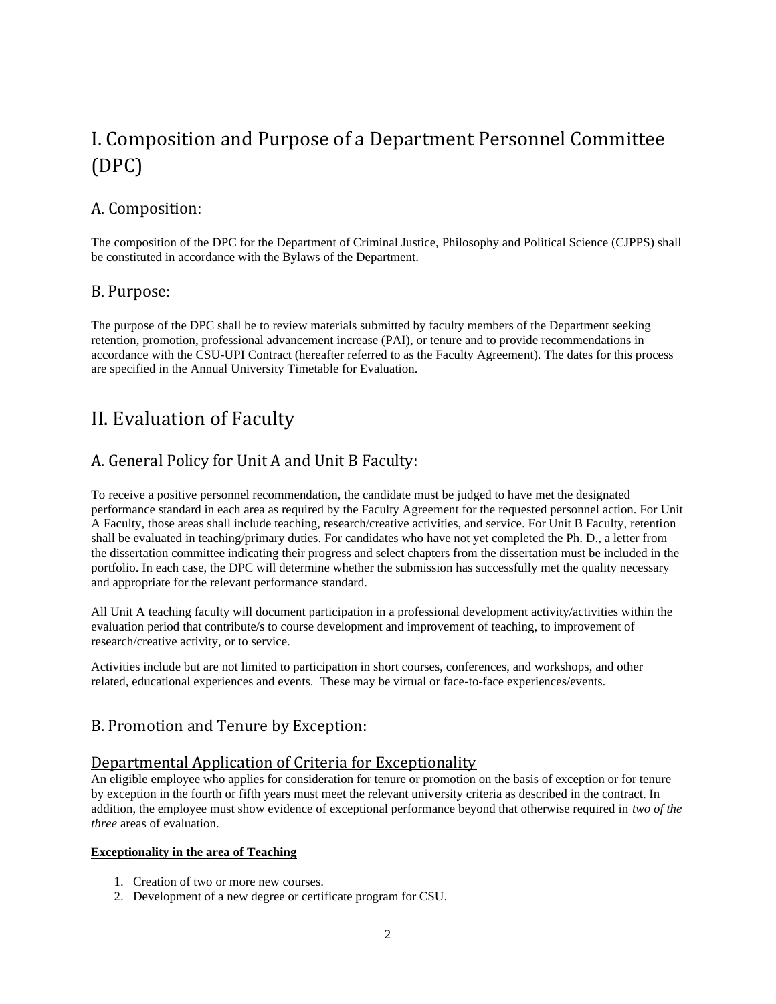# <span id="page-1-0"></span>I. Composition and Purpose of a Department Personnel Committee (DPC)

# <span id="page-1-1"></span>A. Composition:

The composition of the DPC for the Department of Criminal Justice, Philosophy and Political Science (CJPPS) shall be constituted in accordance with the Bylaws of the Department.

## <span id="page-1-2"></span>B. Purpose:

The purpose of the DPC shall be to review materials submitted by faculty members of the Department seeking retention, promotion, professional advancement increase (PAI), or tenure and to provide recommendations in accordance with the CSU-UPI Contract (hereafter referred to as the Faculty Agreement). The dates for this process are specified in the Annual University Timetable for Evaluation.

# <span id="page-1-3"></span>II. Evaluation of Faculty

# <span id="page-1-4"></span>A. General Policy for Unit A and Unit B Faculty:

To receive a positive personnel recommendation, the candidate must be judged to have met the designated performance standard in each area as required by the Faculty Agreement for the requested personnel action. For Unit A Faculty, those areas shall include teaching, research/creative activities, and service. For Unit B Faculty, retention shall be evaluated in teaching/primary duties. For candidates who have not yet completed the Ph. D., a letter from the dissertation committee indicating their progress and select chapters from the dissertation must be included in the portfolio. In each case, the DPC will determine whether the submission has successfully met the quality necessary and appropriate for the relevant performance standard.

All Unit A teaching faculty will document participation in a professional development activity/activities within the evaluation period that contribute/s to course development and improvement of teaching, to improvement of research/creative activity, or to service.

Activities include but are not limited to participation in short courses, conferences, and workshops, and other related, educational experiences and events. These may be virtual or face-to-face experiences/events.

# <span id="page-1-5"></span>B. Promotion and Tenure by Exception:

## Departmental Application of Criteria for Exceptionality

An eligible employee who applies for consideration for tenure or promotion on the basis of exception or for tenure by exception in the fourth or fifth years must meet the relevant university criteria as described in the contract. In addition, the employee must show evidence of exceptional performance beyond that otherwise required in *two of the three* areas of evaluation.

### **Exceptionality in the area of Teaching**

- 1. Creation of two or more new courses.
- 2. Development of a new degree or certificate program for CSU.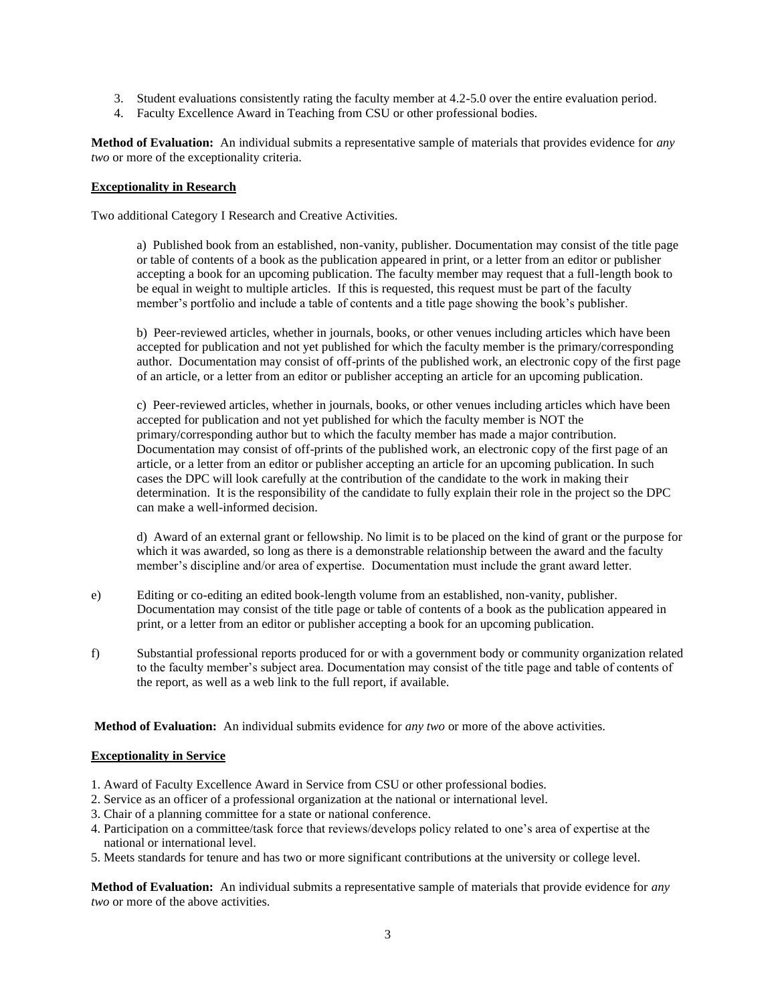- 3. Student evaluations consistently rating the faculty member at 4.2-5.0 over the entire evaluation period.
- 4. Faculty Excellence Award in Teaching from CSU or other professional bodies.

**Method of Evaluation:** An individual submits a representative sample of materials that provides evidence for *any two* or more of the exceptionality criteria.

#### **Exceptionality in Research**

Two additional Category I Research and Creative Activities.

a) Published book from an established, non-vanity, publisher. Documentation may consist of the title page or table of contents of a book as the publication appeared in print, or a letter from an editor or publisher accepting a book for an upcoming publication. The faculty member may request that a full-length book to be equal in weight to multiple articles. If this is requested, this request must be part of the faculty member's portfolio and include a table of contents and a title page showing the book's publisher.

b) Peer-reviewed articles, whether in journals, books, or other venues including articles which have been accepted for publication and not yet published for which the faculty member is the primary/corresponding author. Documentation may consist of off-prints of the published work, an electronic copy of the first page of an article, or a letter from an editor or publisher accepting an article for an upcoming publication.

c) Peer-reviewed articles, whether in journals, books, or other venues including articles which have been accepted for publication and not yet published for which the faculty member is NOT the primary/corresponding author but to which the faculty member has made a major contribution. Documentation may consist of off-prints of the published work, an electronic copy of the first page of an article, or a letter from an editor or publisher accepting an article for an upcoming publication. In such cases the DPC will look carefully at the contribution of the candidate to the work in making their determination. It is the responsibility of the candidate to fully explain their role in the project so the DPC can make a well-informed decision.

d) Award of an external grant or fellowship. No limit is to be placed on the kind of grant or the purpose for which it was awarded, so long as there is a demonstrable relationship between the award and the faculty member's discipline and/or area of expertise. Documentation must include the grant award letter.

- e) Editing or co-editing an edited book-length volume from an established, non-vanity, publisher. Documentation may consist of the title page or table of contents of a book as the publication appeared in print, or a letter from an editor or publisher accepting a book for an upcoming publication.
- f) Substantial professional reports produced for or with a government body or community organization related to the faculty member's subject area. Documentation may consist of the title page and table of contents of the report, as well as a web link to the full report, if available.

**Method of Evaluation:** An individual submits evidence for *any two* or more of the above activities.

### **Exceptionality in Service**

- 1. Award of Faculty Excellence Award in Service from CSU or other professional bodies.
- 2. Service as an officer of a professional organization at the national or international level.
- 3. Chair of a planning committee for a state or national conference.
- 4. Participation on a committee/task force that reviews/develops policy related to one's area of expertise at the national or international level.
- 5. Meets standards for tenure and has two or more significant contributions at the university or college level.

**Method of Evaluation:** An individual submits a representative sample of materials that provide evidence for *any two* or more of the above activities.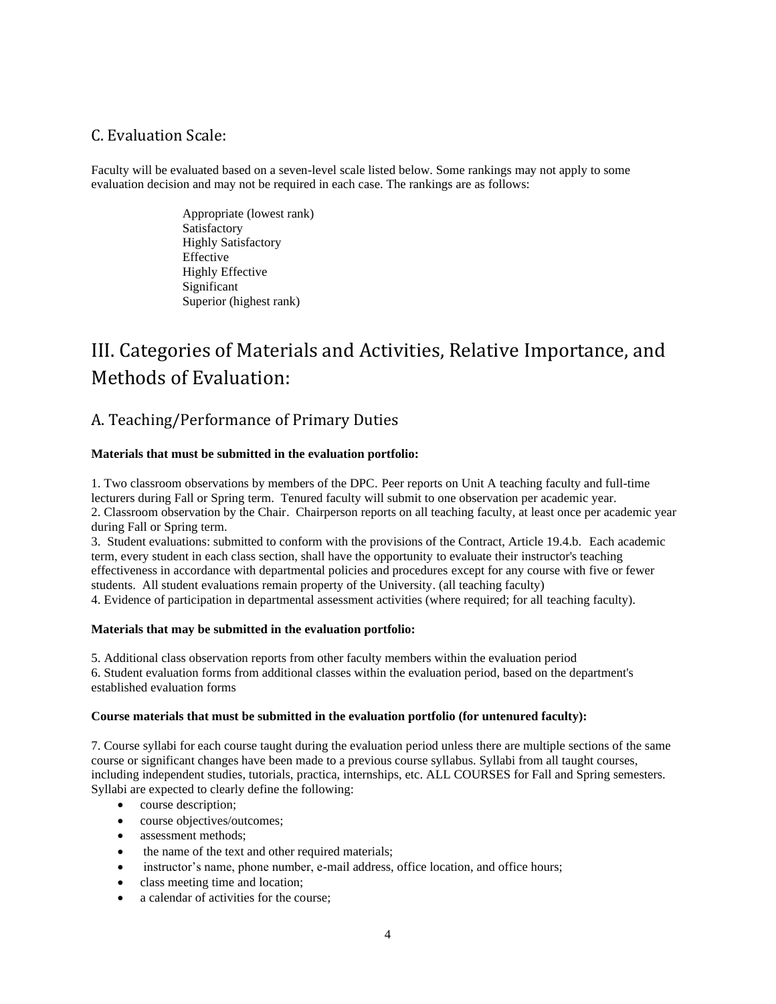## <span id="page-3-0"></span>C. Evaluation Scale:

Faculty will be evaluated based on a seven-level scale listed below. Some rankings may not apply to some evaluation decision and may not be required in each case. The rankings are as follows:

> Appropriate (lowest rank) Satisfactory Highly Satisfactory Effective Highly Effective Significant Superior (highest rank)

# <span id="page-3-1"></span>III. Categories of Materials and Activities, Relative Importance, and Methods of Evaluation:

# <span id="page-3-2"></span>A. Teaching/Performance of Primary Duties

### **Materials that must be submitted in the evaluation portfolio:**

1. Two classroom observations by members of the DPC. Peer reports on Unit A teaching faculty and full-time lecturers during Fall or Spring term. Tenured faculty will submit to one observation per academic year. 2. Classroom observation by the Chair. Chairperson reports on all teaching faculty, at least once per academic year during Fall or Spring term.

3. Student evaluations: submitted to conform with the provisions of the Contract, Article 19.4.b. Each academic term, every student in each class section, shall have the opportunity to evaluate their instructor's teaching effectiveness in accordance with departmental policies and procedures except for any course with five or fewer students. All student evaluations remain property of the University. (all teaching faculty) 4. Evidence of participation in departmental assessment activities (where required; for all teaching faculty).

#### **Materials that may be submitted in the evaluation portfolio:**

5. Additional class observation reports from other faculty members within the evaluation period 6. Student evaluation forms from additional classes within the evaluation period, based on the department's established evaluation forms

#### **Course materials that must be submitted in the evaluation portfolio (for untenured faculty):**

7. Course syllabi for each course taught during the evaluation period unless there are multiple sections of the same course or significant changes have been made to a previous course syllabus. Syllabi from all taught courses, including independent studies, tutorials, practica, internships, etc. ALL COURSES for Fall and Spring semesters. Syllabi are expected to clearly define the following:

- course description;
- course objectives/outcomes;
- assessment methods:
- the name of the text and other required materials;
- instructor's name, phone number, e-mail address, office location, and office hours;
- class meeting time and location;
- a calendar of activities for the course: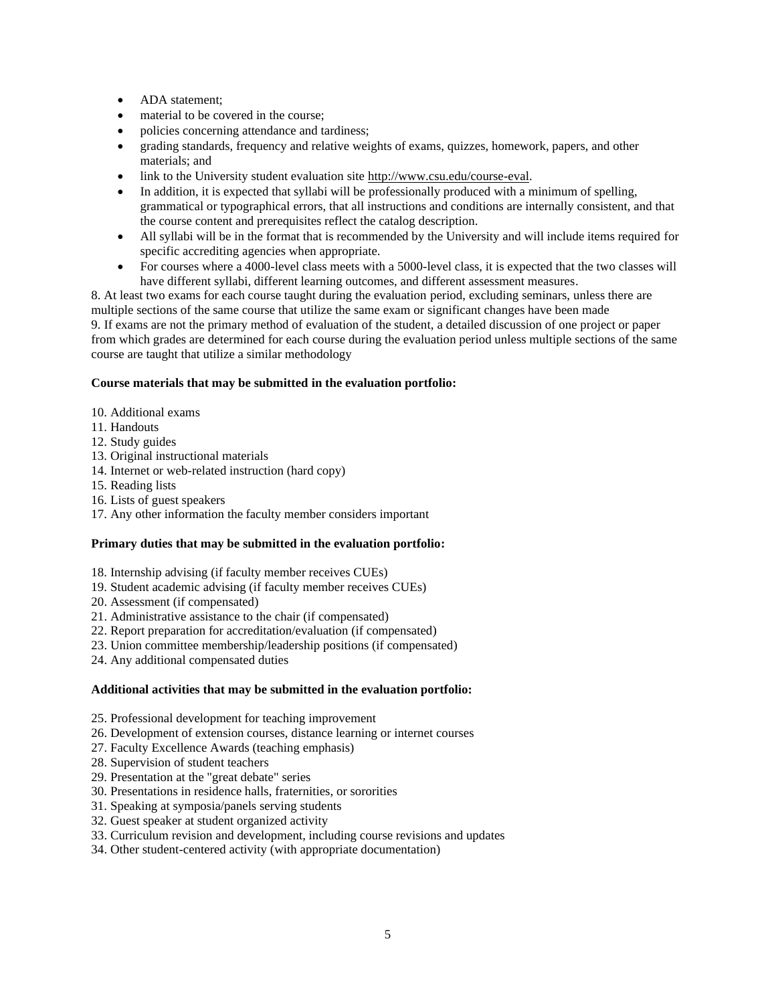- ADA statement;
- material to be covered in the course:
- policies concerning attendance and tardiness;
- grading standards, frequency and relative weights of exams, quizzes, homework, papers, and other materials; and
- link to the University student evaluation site [http://www.csu.edu/course-eval.](http://www.csu.edu/course-eval)
- In addition, it is expected that syllabi will be professionally produced with a minimum of spelling, grammatical or typographical errors, that all instructions and conditions are internally consistent, and that the course content and prerequisites reflect the catalog description.
- All syllabi will be in the format that is recommended by the University and will include items required for specific accrediting agencies when appropriate.
- For courses where a 4000-level class meets with a 5000-level class, it is expected that the two classes will have different syllabi, different learning outcomes, and different assessment measures.

8. At least two exams for each course taught during the evaluation period, excluding seminars, unless there are multiple sections of the same course that utilize the same exam or significant changes have been made 9. If exams are not the primary method of evaluation of the student, a detailed discussion of one project or paper from which grades are determined for each course during the evaluation period unless multiple sections of the same course are taught that utilize a similar methodology

## **Course materials that may be submitted in the evaluation portfolio:**

- 10. Additional exams
- 11. Handouts
- 12. Study guides
- 13. Original instructional materials
- 14. Internet or web-related instruction (hard copy)
- 15. Reading lists
- 16. Lists of guest speakers
- 17. Any other information the faculty member considers important

### **Primary duties that may be submitted in the evaluation portfolio:**

- 18. Internship advising (if faculty member receives CUEs)
- 19. Student academic advising (if faculty member receives CUEs)
- 20. Assessment (if compensated)
- 21. Administrative assistance to the chair (if compensated)
- 22. Report preparation for accreditation/evaluation (if compensated)
- 23. Union committee membership/leadership positions (if compensated)
- 24. Any additional compensated duties

#### **Additional activities that may be submitted in the evaluation portfolio:**

- 25. Professional development for teaching improvement
- 26. Development of extension courses, distance learning or internet courses
- 27. Faculty Excellence Awards (teaching emphasis)
- 28. Supervision of student teachers
- 29. Presentation at the "great debate" series
- 30. Presentations in residence halls, fraternities, or sororities
- 31. Speaking at symposia/panels serving students
- 32. Guest speaker at student organized activity
- 33. Curriculum revision and development, including course revisions and updates
- 34. Other student-centered activity (with appropriate documentation)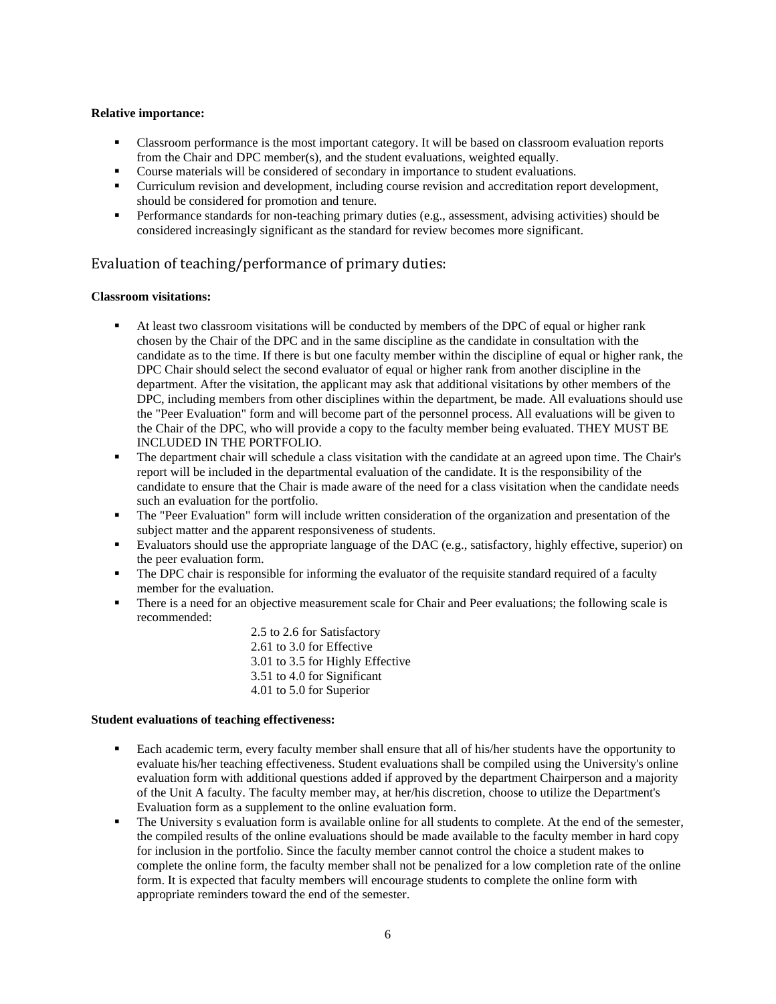#### **Relative importance:**

- Classroom performance is the most important category. It will be based on classroom evaluation reports from the Chair and DPC member(s), and the student evaluations, weighted equally.
- Course materials will be considered of secondary in importance to student evaluations.
- Curriculum revision and development, including course revision and accreditation report development, should be considered for promotion and tenure.
- **•** Performance standards for non-teaching primary duties (e.g., assessment, advising activities) should be considered increasingly significant as the standard for review becomes more significant.

## <span id="page-5-0"></span>Evaluation of teaching/performance of primary duties:

#### **Classroom visitations:**

- At least two classroom visitations will be conducted by members of the DPC of equal or higher rank chosen by the Chair of the DPC and in the same discipline as the candidate in consultation with the candidate as to the time. If there is but one faculty member within the discipline of equal or higher rank, the DPC Chair should select the second evaluator of equal or higher rank from another discipline in the department. After the visitation, the applicant may ask that additional visitations by other members of the DPC, including members from other disciplines within the department, be made. All evaluations should use the "Peer Evaluation" form and will become part of the personnel process. All evaluations will be given to the Chair of the DPC, who will provide a copy to the faculty member being evaluated. THEY MUST BE INCLUDED IN THE PORTFOLIO.
- The department chair will schedule a class visitation with the candidate at an agreed upon time. The Chair's report will be included in the departmental evaluation of the candidate. It is the responsibility of the candidate to ensure that the Chair is made aware of the need for a class visitation when the candidate needs such an evaluation for the portfolio.
- The "Peer Evaluation" form will include written consideration of the organization and presentation of the subject matter and the apparent responsiveness of students.
- Evaluators should use the appropriate language of the DAC (e.g., satisfactory, highly effective, superior) on the peer evaluation form.
- **•** The DPC chair is responsible for informing the evaluator of the requisite standard required of a faculty member for the evaluation.
- **•** There is a need for an objective measurement scale for Chair and Peer evaluations; the following scale is recommended:

2.5 to 2.6 for Satisfactory 2.61 to 3.0 for Effective 3.01 to 3.5 for Highly Effective 3.51 to 4.0 for Significant 4.01 to 5.0 for Superior

#### **Student evaluations of teaching effectiveness:**

- Each academic term, every faculty member shall ensure that all of his/her students have the opportunity to evaluate his/her teaching effectiveness. Student evaluations shall be compiled using the University's online evaluation form with additional questions added if approved by the department Chairperson and a majority of the Unit A faculty. The faculty member may, at her/his discretion, choose to utilize the Department's Evaluation form as a supplement to the online evaluation form.
- The University s evaluation form is available online for all students to complete. At the end of the semester, the compiled results of the online evaluations should be made available to the faculty member in hard copy for inclusion in the portfolio. Since the faculty member cannot control the choice a student makes to complete the online form, the faculty member shall not be penalized for a low completion rate of the online form. It is expected that faculty members will encourage students to complete the online form with appropriate reminders toward the end of the semester.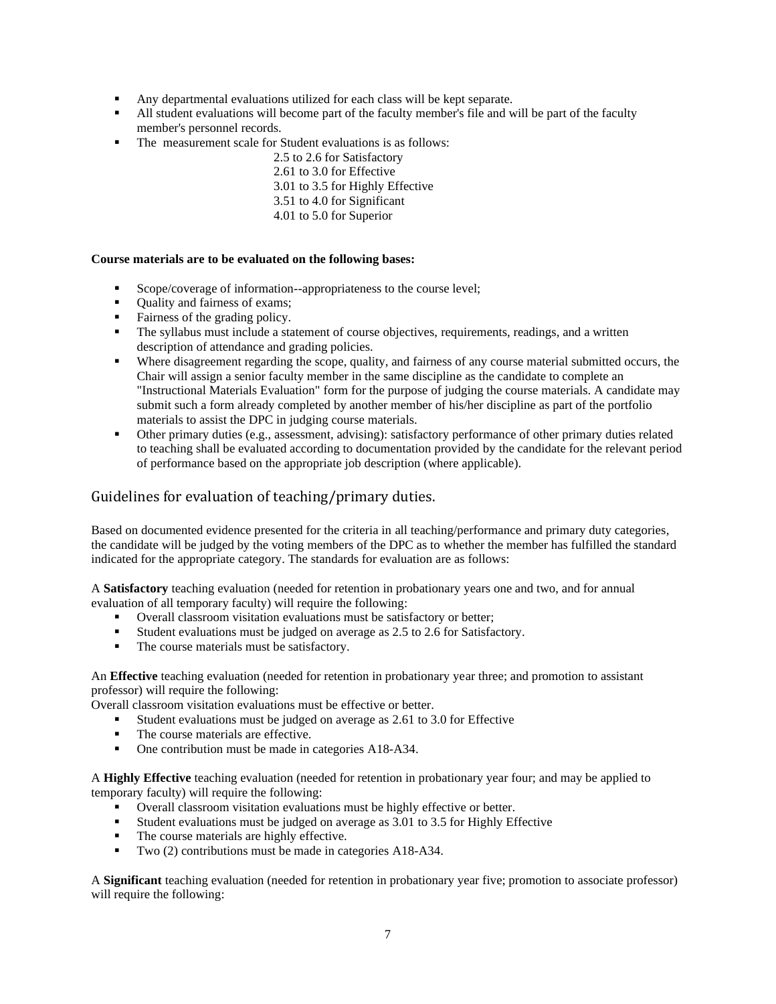- Any departmental evaluations utilized for each class will be kept separate.
- All student evaluations will become part of the faculty member's file and will be part of the faculty member's personnel records.
- The measurement scale for Student evaluations is as follows:
	- 2.5 to 2.6 for Satisfactory
	- 2.61 to 3.0 for Effective
	- 3.01 to 3.5 for Highly Effective
	- 3.51 to 4.0 for Significant
	- 4.01 to 5.0 for Superior

#### **Course materials are to be evaluated on the following bases:**

- Scope/coverage of information--appropriateness to the course level;
- Quality and fairness of exams;
- Fairness of the grading policy.
- **•** The syllabus must include a statement of course objectives, requirements, readings, and a written description of attendance and grading policies.
- Where disagreement regarding the scope, quality, and fairness of any course material submitted occurs, the Chair will assign a senior faculty member in the same discipline as the candidate to complete an "Instructional Materials Evaluation" form for the purpose of judging the course materials. A candidate may submit such a form already completed by another member of his/her discipline as part of the portfolio materials to assist the DPC in judging course materials.
- Other primary duties (e.g., assessment, advising): satisfactory performance of other primary duties related to teaching shall be evaluated according to documentation provided by the candidate for the relevant period of performance based on the appropriate job description (where applicable).

## <span id="page-6-0"></span>Guidelines for evaluation of teaching/primary duties.

Based on documented evidence presented for the criteria in all teaching/performance and primary duty categories, the candidate will be judged by the voting members of the DPC as to whether the member has fulfilled the standard indicated for the appropriate category. The standards for evaluation are as follows:

A **Satisfactory** teaching evaluation (needed for retention in probationary years one and two, and for annual evaluation of all temporary faculty) will require the following:

- Overall classroom visitation evaluations must be satisfactory or better;<br>• Student evaluations must be judged on average as  $2.5$  to  $2.6$  for Satisfactory
- Student evaluations must be judged on average as 2.5 to 2.6 for Satisfactory.
- The course materials must be satisfactory.

An **Effective** teaching evaluation (needed for retention in probationary year three; and promotion to assistant professor) will require the following:

Overall classroom visitation evaluations must be effective or better.

- Student evaluations must be judged on average as 2.61 to 3.0 for Effective
- **•** The course materials are effective.
- One contribution must be made in categories A18-A34.

A **Highly Effective** teaching evaluation (needed for retention in probationary year four; and may be applied to temporary faculty) will require the following:

- Overall classroom visitation evaluations must be highly effective or better.
- Student evaluations must be judged on average as 3.01 to 3.5 for Highly Effective The course materials are highly effective.
- The course materials are highly effective.
- Two (2) contributions must be made in categories A18-A34.

A **Significant** teaching evaluation (needed for retention in probationary year five; promotion to associate professor) will require the following: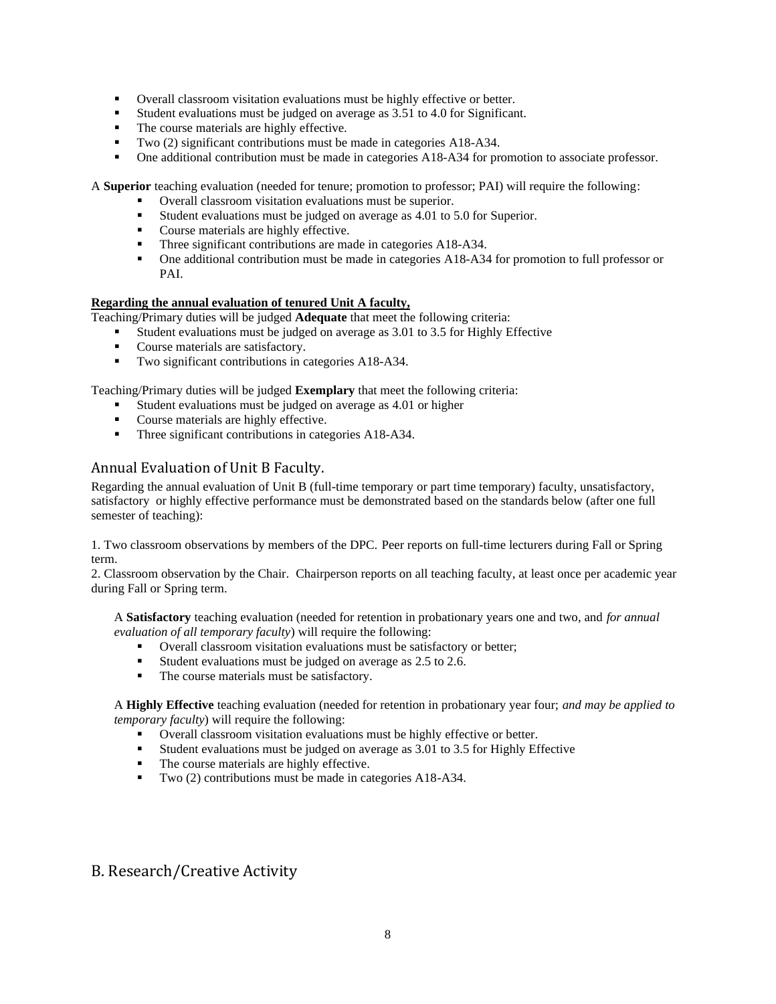- Overall classroom visitation evaluations must be highly effective or better.<br>■ Student evaluations must be judged on average as 3.51 to 4.0 for Significan
- Student evaluations must be judged on average as 3.51 to 4.0 for Significant.
- The course materials are highly effective.
- Two (2) significant contributions must be made in categories A18-A34.
- **•** One additional contribution must be made in categories A18-A34 for promotion to associate professor.

A **Superior** teaching evaluation (needed for tenure; promotion to professor; PAI) will require the following:

- Overall classroom visitation evaluations must be superior.
- Student evaluations must be judged on average as 4.01 to 5.0 for Superior.
- Course materials are highly effective.
- Three significant contributions are made in categories A18-A34.
- One additional contribution must be made in categories A18-A34 for promotion to full professor or PAI.

## **Regarding the annual evaluation of tenured Unit A faculty,**

Teaching/Primary duties will be judged **Adequate** that meet the following criteria:

- Student evaluations must be judged on average as 3.01 to 3.5 for Highly Effective
- Course materials are satisfactory.
- Two significant contributions in categories A18-A34.

Teaching/Primary duties will be judged **Exemplary** that meet the following criteria:

- Student evaluations must be judged on average as 4.01 or higher
- Course materials are highly effective.
- Three significant contributions in categories A18-A34.

## <span id="page-7-0"></span>Annual Evaluation of Unit B Faculty.

Regarding the annual evaluation of Unit B (full-time temporary or part time temporary) faculty, unsatisfactory, satisfactory or highly effective performance must be demonstrated based on the standards below (after one full semester of teaching):

1. Two classroom observations by members of the DPC. Peer reports on full-time lecturers during Fall or Spring term.

2. Classroom observation by the Chair. Chairperson reports on all teaching faculty, at least once per academic year during Fall or Spring term.

A **Satisfactory** teaching evaluation (needed for retention in probationary years one and two, and *for annual evaluation of all temporary faculty*) will require the following:

- Overall classroom visitation evaluations must be satisfactory or better;
- Student evaluations must be judged on average as 2.5 to 2.6.
- The course materials must be satisfactory.

A **Highly Effective** teaching evaluation (needed for retention in probationary year four; *and may be applied to temporary faculty*) will require the following:

- Overall classroom visitation evaluations must be highly effective or better.
- Student evaluations must be judged on average as 3.01 to 3.5 for Highly Effective
- The course materials are highly effective.
- Two (2) contributions must be made in categories A18-A34.

# <span id="page-7-1"></span>B. Research/Creative Activity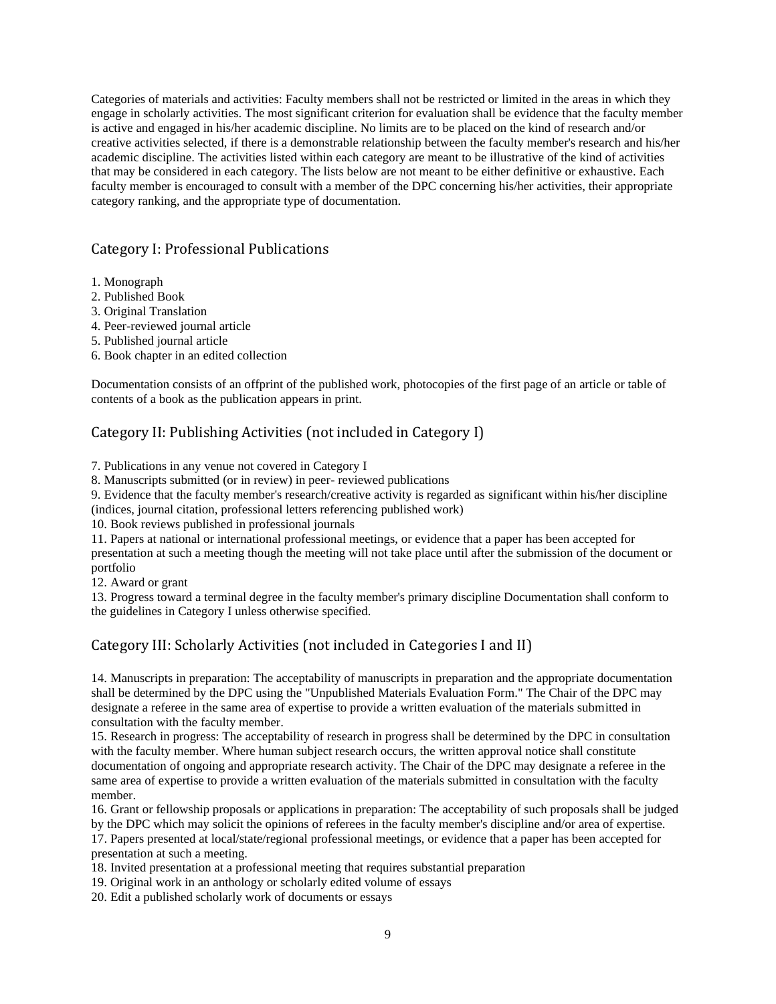Categories of materials and activities: Faculty members shall not be restricted or limited in the areas in which they engage in scholarly activities. The most significant criterion for evaluation shall be evidence that the faculty member is active and engaged in his/her academic discipline. No limits are to be placed on the kind of research and/or creative activities selected, if there is a demonstrable relationship between the faculty member's research and his/her academic discipline. The activities listed within each category are meant to be illustrative of the kind of activities that may be considered in each category. The lists below are not meant to be either definitive or exhaustive. Each faculty member is encouraged to consult with a member of the DPC concerning his/her activities, their appropriate category ranking, and the appropriate type of documentation.

## <span id="page-8-0"></span>Category I: Professional Publications

- 1. Monograph
- 2. Published Book
- 3. Original Translation
- 4. Peer-reviewed journal article
- 5. Published journal article
- 6. Book chapter in an edited collection

Documentation consists of an offprint of the published work, photocopies of the first page of an article or table of contents of a book as the publication appears in print.

## <span id="page-8-1"></span>Category II: Publishing Activities (not included in Category I)

7. Publications in any venue not covered in Category I

8. Manuscripts submitted (or in review) in peer- reviewed publications

9. Evidence that the faculty member's research/creative activity is regarded as significant within his/her discipline (indices, journal citation, professional letters referencing published work)

10. Book reviews published in professional journals

11. Papers at national or international professional meetings, or evidence that a paper has been accepted for presentation at such a meeting though the meeting will not take place until after the submission of the document or portfolio

12. Award or grant

13. Progress toward a terminal degree in the faculty member's primary discipline Documentation shall conform to the guidelines in Category I unless otherwise specified.

## <span id="page-8-2"></span>Category III: Scholarly Activities (not included in Categories I and II)

14. Manuscripts in preparation: The acceptability of manuscripts in preparation and the appropriate documentation shall be determined by the DPC using the "Unpublished Materials Evaluation Form." The Chair of the DPC may designate a referee in the same area of expertise to provide a written evaluation of the materials submitted in consultation with the faculty member.

15. Research in progress: The acceptability of research in progress shall be determined by the DPC in consultation with the faculty member. Where human subject research occurs, the written approval notice shall constitute documentation of ongoing and appropriate research activity. The Chair of the DPC may designate a referee in the same area of expertise to provide a written evaluation of the materials submitted in consultation with the faculty member.

16. Grant or fellowship proposals or applications in preparation: The acceptability of such proposals shall be judged by the DPC which may solicit the opinions of referees in the faculty member's discipline and/or area of expertise.

17. Papers presented at local/state/regional professional meetings, or evidence that a paper has been accepted for presentation at such a meeting.

18. Invited presentation at a professional meeting that requires substantial preparation

19. Original work in an anthology or scholarly edited volume of essays

20. Edit a published scholarly work of documents or essays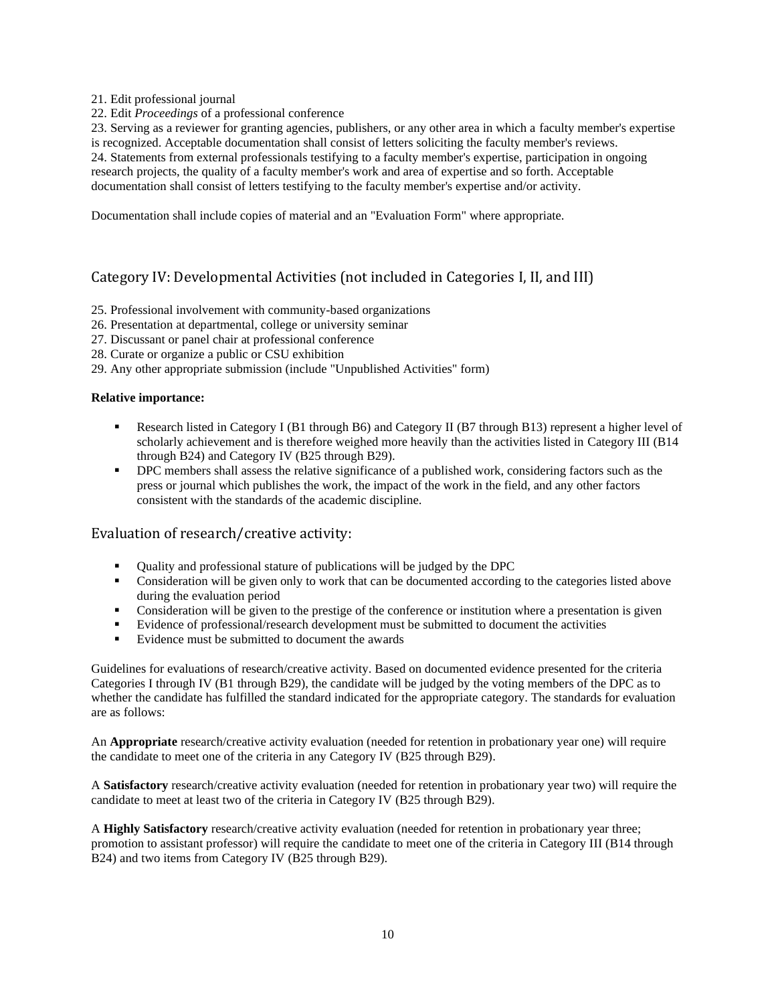21. Edit professional journal

22. Edit *Proceedings* of a professional conference

23. Serving as a reviewer for granting agencies, publishers, or any other area in which a faculty member's expertise is recognized. Acceptable documentation shall consist of letters soliciting the faculty member's reviews. 24. Statements from external professionals testifying to a faculty member's expertise, participation in ongoing research projects, the quality of a faculty member's work and area of expertise and so forth. Acceptable documentation shall consist of letters testifying to the faculty member's expertise and/or activity.

Documentation shall include copies of material and an "Evaluation Form" where appropriate.

## <span id="page-9-0"></span>Category IV: Developmental Activities (not included in Categories I, II, and III)

- 25. Professional involvement with community-based organizations
- 26. Presentation at departmental, college or university seminar
- 27. Discussant or panel chair at professional conference
- 28. Curate or organize a public or CSU exhibition
- 29. Any other appropriate submission (include "Unpublished Activities" form)

### **Relative importance:**

- **•** Research listed in Category I (B1 through B6) and Category II (B7 through B13) represent a higher level of scholarly achievement and is therefore weighed more heavily than the activities listed in Category III (B14 through B24) and Category IV (B25 through B29).
- **•** DPC members shall assess the relative significance of a published work, considering factors such as the press or journal which publishes the work, the impact of the work in the field, and any other factors consistent with the standards of the academic discipline.

## <span id="page-9-1"></span>Evaluation of research/creative activity:

- Quality and professional stature of publications will be judged by the DPC
- Consideration will be given only to work that can be documented according to the categories listed above during the evaluation period
- Consideration will be given to the prestige of the conference or institution where a presentation is given
- Evidence of professional/research development must be submitted to document the activities
- Evidence must be submitted to document the awards

Guidelines for evaluations of research/creative activity. Based on documented evidence presented for the criteria Categories I through IV (B1 through B29), the candidate will be judged by the voting members of the DPC as to whether the candidate has fulfilled the standard indicated for the appropriate category. The standards for evaluation are as follows:

An **Appropriate** research/creative activity evaluation (needed for retention in probationary year one) will require the candidate to meet one of the criteria in any Category IV (B25 through B29).

A **Satisfactory** research/creative activity evaluation (needed for retention in probationary year two) will require the candidate to meet at least two of the criteria in Category IV (B25 through B29).

A **Highly Satisfactory** research/creative activity evaluation (needed for retention in probationary year three; promotion to assistant professor) will require the candidate to meet one of the criteria in Category III (B14 through B24) and two items from Category IV (B25 through B29).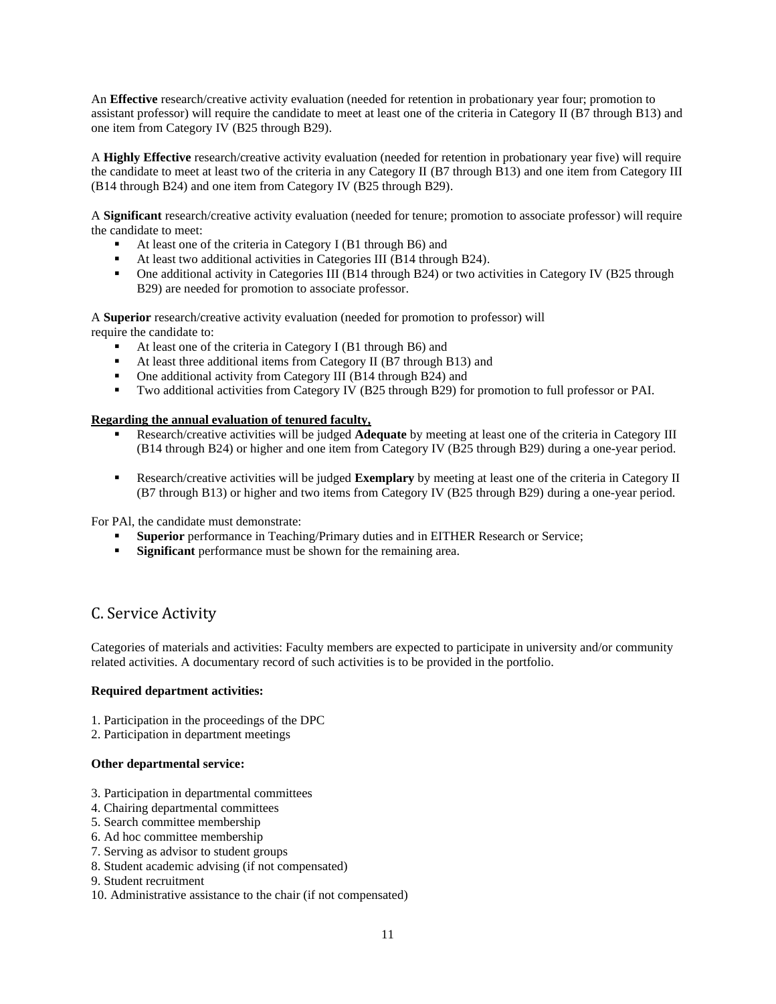An **Effective** research/creative activity evaluation (needed for retention in probationary year four; promotion to assistant professor) will require the candidate to meet at least one of the criteria in Category II (B7 through B13) and one item from Category IV (B25 through B29).

A **Highly Effective** research/creative activity evaluation (needed for retention in probationary year five) will require the candidate to meet at least two of the criteria in any Category II (B7 through B13) and one item from Category III (B14 through B24) and one item from Category IV (B25 through B29).

A **Significant** research/creative activity evaluation (needed for tenure; promotion to associate professor) will require the candidate to meet:

- At least one of the criteria in Category I (B1 through B6) and
- At least two additional activities in Categories III (B14 through B24).
- One additional activity in Categories III (B14 through B24) or two activities in Category IV (B25 through B29) are needed for promotion to associate professor.

A **Superior** research/creative activity evaluation (needed for promotion to professor) will require the candidate to:

- At least one of the criteria in Category I (B1 through B6) and
- At least three additional items from Category II (B7 through B13) and
- One additional activity from Category III (B14 through B24) and<br>■ Two additional activities from Category IV (B25 through B29) for
- Two additional activities from Category IV (B25 through B29) for promotion to full professor or PAI.

### **Regarding the annual evaluation of tenured faculty,**

- Research/creative activities will be judged **Adequate** by meeting at least one of the criteria in Category III (B14 through B24) or higher and one item from Category IV (B25 through B29) during a one-year period.
- Research/creative activities will be judged **Exemplary** by meeting at least one of the criteria in Category II (B7 through B13) or higher and two items from Category IV (B25 through B29) during a one-year period.

For PAl, the candidate must demonstrate:

- **Exercise 1** Superior performance in Teaching/Primary duties and in EITHER Research or Service;<br>
Significant performance must be shown for the remaining area
- Significant performance must be shown for the remaining area.

## <span id="page-10-0"></span>C. Service Activity

Categories of materials and activities: Faculty members are expected to participate in university and/or community related activities. A documentary record of such activities is to be provided in the portfolio.

#### **Required department activities:**

- 1. Participation in the proceedings of the DPC
- 2. Participation in department meetings

### **Other departmental service:**

- 3. Participation in departmental committees
- 4. Chairing departmental committees
- 5. Search committee membership
- 6. Ad hoc committee membership
- 7. Serving as advisor to student groups
- 8. Student academic advising (if not compensated)
- 9. Student recruitment
- 10. Administrative assistance to the chair (if not compensated)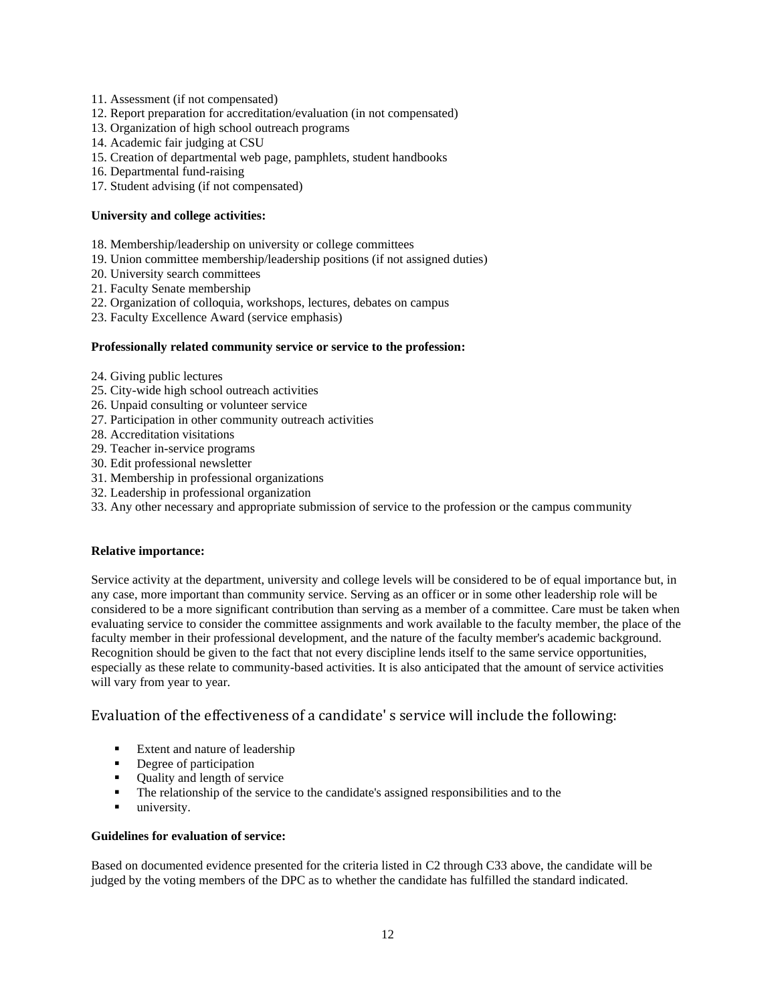- 11. Assessment (if not compensated)
- 12. Report preparation for accreditation/evaluation (in not compensated)
- 13. Organization of high school outreach programs
- 14. Academic fair judging at CSU
- 15. Creation of departmental web page, pamphlets, student handbooks
- 16. Departmental fund-raising
- 17. Student advising (if not compensated)

#### **University and college activities:**

- 18. Membership/leadership on university or college committees
- 19. Union committee membership/leadership positions (if not assigned duties)
- 20. University search committees
- 21. Faculty Senate membership
- 22. Organization of colloquia, workshops, lectures, debates on campus
- 23. Faculty Excellence Award (service emphasis)

#### **Professionally related community service or service to the profession:**

- 24. Giving public lectures
- 25. City-wide high school outreach activities
- 26. Unpaid consulting or volunteer service
- 27. Participation in other community outreach activities
- 28. Accreditation visitations
- 29. Teacher in-service programs
- 30. Edit professional newsletter
- 31. Membership in professional organizations
- 32. Leadership in professional organization
- 33. Any other necessary and appropriate submission of service to the profession or the campus community

### **Relative importance:**

Service activity at the department, university and college levels will be considered to be of equal importance but, in any case, more important than community service. Serving as an officer or in some other leadership role will be considered to be a more significant contribution than serving as a member of a committee. Care must be taken when evaluating service to consider the committee assignments and work available to the faculty member, the place of the faculty member in their professional development, and the nature of the faculty member's academic background. Recognition should be given to the fact that not every discipline lends itself to the same service opportunities, especially as these relate to community-based activities. It is also anticipated that the amount of service activities will vary from year to year.

## <span id="page-11-0"></span>Evaluation of the effectiveness of a candidate' s service will include the following:

- Extent and nature of leadership
- Degree of participation
- Quality and length of service
- The relationship of the service to the candidate's assigned responsibilities and to the
- **university.**

#### **Guidelines for evaluation of service:**

Based on documented evidence presented for the criteria listed in C2 through C33 above, the candidate will be judged by the voting members of the DPC as to whether the candidate has fulfilled the standard indicated.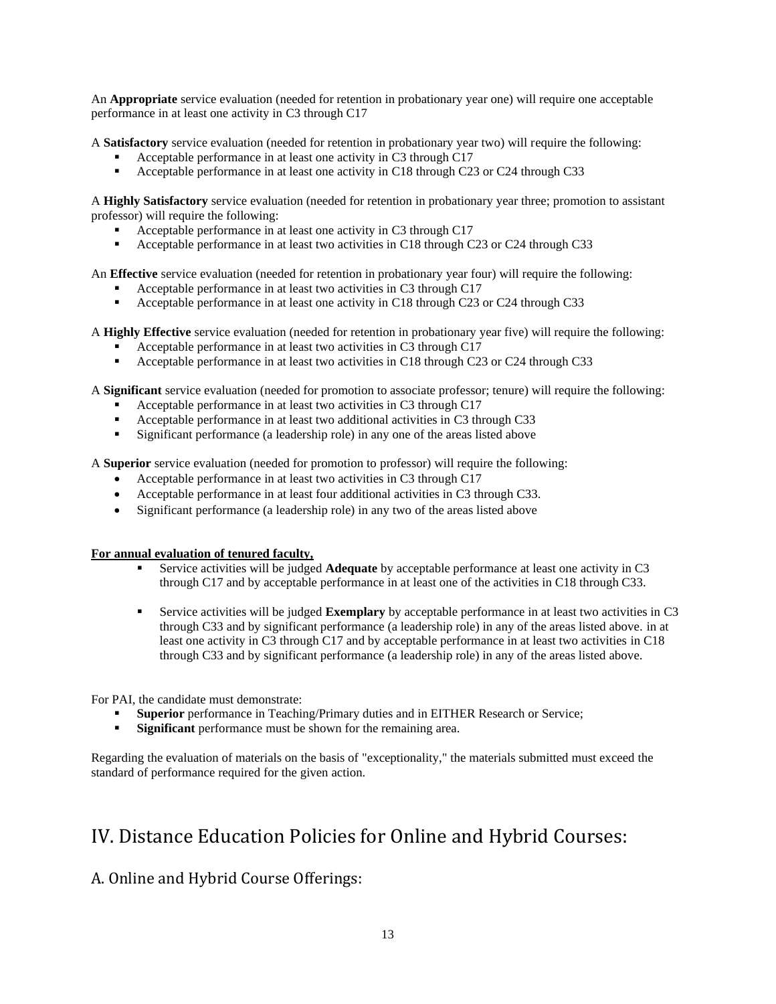An **Appropriate** service evaluation (needed for retention in probationary year one) will require one acceptable performance in at least one activity in C3 through C17

A **Satisfactory** service evaluation (needed for retention in probationary year two) will require the following:

- Acceptable performance in at least one activity in C3 through C17
- Acceptable performance in at least one activity in C18 through C23 or C24 through C33

A **Highly Satisfactory** service evaluation (needed for retention in probationary year three; promotion to assistant professor) will require the following:

- Acceptable performance in at least one activity in C3 through C17
- Acceptable performance in at least two activities in C18 through C23 or C24 through C33

An **Effective** service evaluation (needed for retention in probationary year four) will require the following:

- Acceptable performance in at least two activities in C3 through C17
- **•** Acceptable performance in at least one activity in C18 through C23 or C24 through C33

A **Highly Effective** service evaluation (needed for retention in probationary year five) will require the following:

- Acceptable performance in at least two activities in C3 through C17
- Acceptable performance in at least two activities in C18 through C23 or C24 through C33

A **Significant** service evaluation (needed for promotion to associate professor; tenure) will require the following:

- Acceptable performance in at least two activities in C3 through C17
- Acceptable performance in at least two additional activities in C3 through C33
- Significant performance (a leadership role) in any one of the areas listed above

A **Superior** service evaluation (needed for promotion to professor) will require the following:

- Acceptable performance in at least two activities in C3 through C17
- Acceptable performance in at least four additional activities in C3 through C33.
- Significant performance (a leadership role) in any two of the areas listed above

#### **For annual evaluation of tenured faculty,**

- Service activities will be judged **Adequate** by acceptable performance at least one activity in C3 through C17 and by acceptable performance in at least one of the activities in C18 through C33.
- Service activities will be judged **Exemplary** by acceptable performance in at least two activities in C3 through C33 and by significant performance (a leadership role) in any of the areas listed above. in at least one activity in C3 through C17 and by acceptable performance in at least two activities in C18 through C33 and by significant performance (a leadership role) in any of the areas listed above.

For PAI, the candidate must demonstrate:

- **Superior** performance in Teaching/Primary duties and in EITHER Research or Service;
- **Example 1 Significant** performance must be shown for the remaining area.

Regarding the evaluation of materials on the basis of "exceptionality," the materials submitted must exceed the standard of performance required for the given action.

# <span id="page-12-0"></span>IV. Distance Education Policies for Online and Hybrid Courses:

## <span id="page-12-1"></span>A. Online and Hybrid Course Offerings: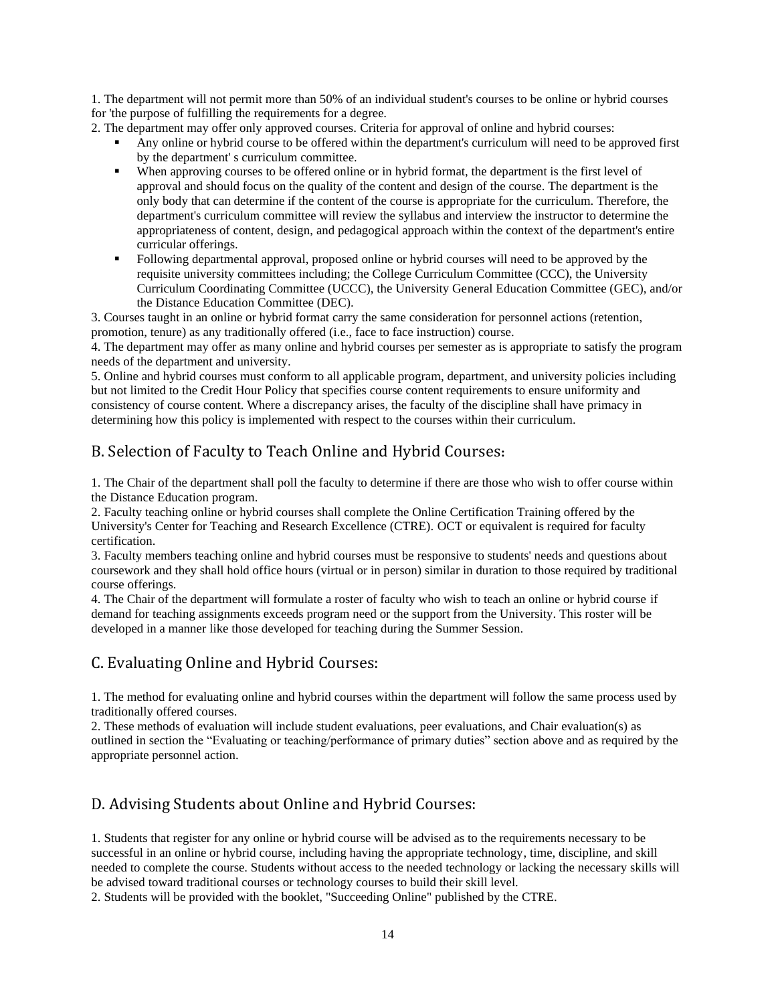1. The department will not permit more than 50% of an individual student's courses to be online or hybrid courses for 'the purpose of fulfilling the requirements for a degree.

2. The department may offer only approved courses. Criteria for approval of online and hybrid courses:

- Any online or hybrid course to be offered within the department's curriculum will need to be approved first by the department' s curriculum committee.
- When approving courses to be offered online or in hybrid format, the department is the first level of approval and should focus on the quality of the content and design of the course. The department is the only body that can determine if the content of the course is appropriate for the curriculum. Therefore, the department's curriculum committee will review the syllabus and interview the instructor to determine the appropriateness of content, design, and pedagogical approach within the context of the department's entire curricular offerings.
- Following departmental approval, proposed online or hybrid courses will need to be approved by the requisite university committees including; the College Curriculum Committee (CCC), the University Curriculum Coordinating Committee (UCCC), the University General Education Committee (GEC), and/or the Distance Education Committee (DEC).

3. Courses taught in an online or hybrid format carry the same consideration for personnel actions (retention, promotion, tenure) as any traditionally offered (i.e., face to face instruction) course.

4. The department may offer as many online and hybrid courses per semester as is appropriate to satisfy the program needs of the department and university.

5. Online and hybrid courses must conform to all applicable program, department, and university policies including but not limited to the Credit Hour Policy that specifies course content requirements to ensure uniformity and consistency of course content. Where a discrepancy arises, the faculty of the discipline shall have primacy in determining how this policy is implemented with respect to the courses within their curriculum.

# <span id="page-13-0"></span>B. Selection of Faculty to Teach Online and Hybrid Courses**:**

1. The Chair of the department shall poll the faculty to determine if there are those who wish to offer course within the Distance Education program.

2. Faculty teaching online or hybrid courses shall complete the Online Certification Training offered by the University's Center for Teaching and Research Excellence (CTRE). OCT or equivalent is required for faculty certification.

3. Faculty members teaching online and hybrid courses must be responsive to students' needs and questions about coursework and they shall hold office hours (virtual or in person) similar in duration to those required by traditional course offerings.

4. The Chair of the department will formulate a roster of faculty who wish to teach an online or hybrid course if demand for teaching assignments exceeds program need or the support from the University. This roster will be developed in a manner like those developed for teaching during the Summer Session.

# <span id="page-13-1"></span>C. Evaluating Online and Hybrid Courses:

1. The method for evaluating online and hybrid courses within the department will follow the same process used by traditionally offered courses.

2. These methods of evaluation will include student evaluations, peer evaluations, and Chair evaluation(s) as outlined in section the "Evaluating or teaching/performance of primary duties" section above and as required by the appropriate personnel action.

# <span id="page-13-2"></span>D. Advising Students about Online and Hybrid Courses:

1. Students that register for any online or hybrid course will be advised as to the requirements necessary to be successful in an online or hybrid course, including having the appropriate technology, time, discipline, and skill needed to complete the course. Students without access to the needed technology or lacking the necessary skills will be advised toward traditional courses or technology courses to build their skill level.

2. Students will be provided with the booklet, "Succeeding Online" published by the CTRE.